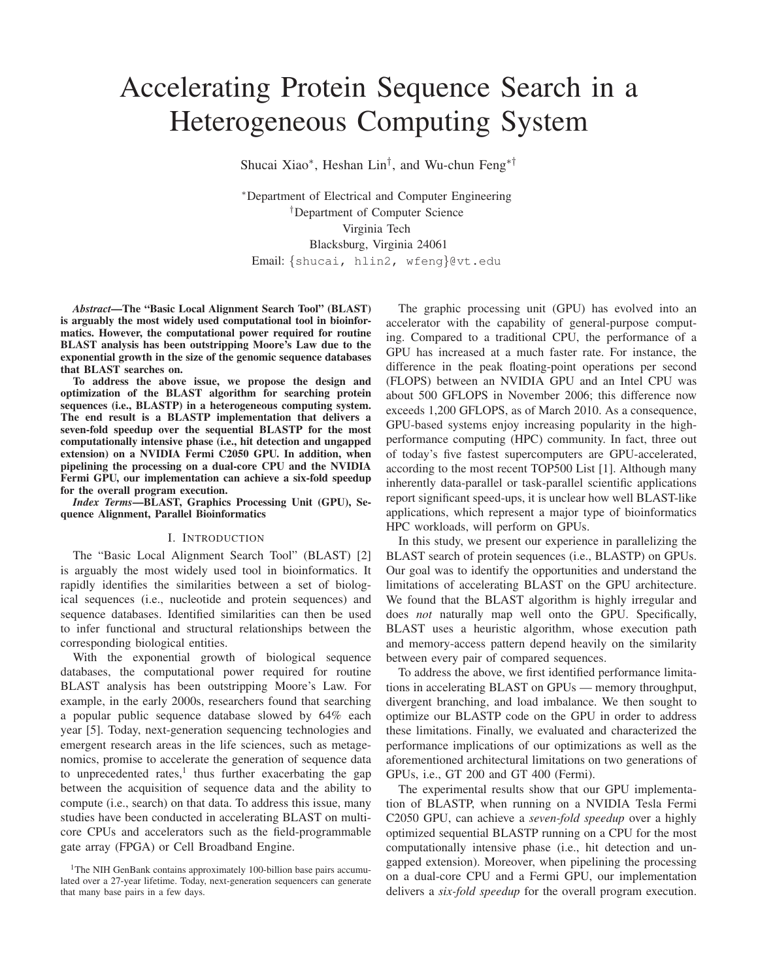# Accelerating Protein Sequence Search in a Heterogeneous Computing System

Shucai Xiao<sup>∗</sup> , Heshan Lin† , and Wu-chun Feng∗†

<sup>∗</sup>Department of Electrical and Computer Engineering †Department of Computer Science Virginia Tech Blacksburg, Virginia 24061 Email: {shucai, hlin2, wfeng}@vt.edu

*Abstract***—The "Basic Local Alignment Search Tool" (BLAST) is arguably the most widely used computational tool in bioinformatics. However, the computational power required for routine BLAST analysis has been outstripping Moore's Law due to the exponential growth in the size of the genomic sequence databases that BLAST searches on.**

**To address the above issue, we propose the design and optimization of the BLAST algorithm for searching protein sequences (i.e., BLASTP) in a heterogeneous computing system. The end result is a BLASTP implementation that delivers a seven-fold speedup over the sequential BLASTP for the most computationally intensive phase (i.e., hit detection and ungapped extension) on a NVIDIA Fermi C2050 GPU. In addition, when pipelining the processing on a dual-core CPU and the NVIDIA Fermi GPU, our implementation can achieve a six-fold speedup for the overall program execution.**

*Index Terms***—BLAST, Graphics Processing Unit (GPU), Sequence Alignment, Parallel Bioinformatics**

#### I. INTRODUCTION

The "Basic Local Alignment Search Tool" (BLAST) [2] is arguably the most widely used tool in bioinformatics. It rapidly identifies the similarities between a set of biological sequences (i.e., nucleotide and protein sequences) and sequence databases. Identified similarities can then be used to infer functional and structural relationships between the corresponding biological entities.

With the exponential growth of biological sequence databases, the computational power required for routine BLAST analysis has been outstripping Moore's Law. For example, in the early 2000s, researchers found that searching a popular public sequence database slowed by 64% each year [5]. Today, next-generation sequencing technologies and emergent research areas in the life sciences, such as metagenomics, promise to accelerate the generation of sequence data to unprecedented rates,<sup>1</sup> thus further exacerbating the gap between the acquisition of sequence data and the ability to compute (i.e., search) on that data. To address this issue, many studies have been conducted in accelerating BLAST on multicore CPUs and accelerators such as the field-programmable gate array (FPGA) or Cell Broadband Engine.

The graphic processing unit (GPU) has evolved into an accelerator with the capability of general-purpose computing. Compared to a traditional CPU, the performance of a GPU has increased at a much faster rate. For instance, the difference in the peak floating-point operations per second (FLOPS) between an NVIDIA GPU and an Intel CPU was about 500 GFLOPS in November 2006; this difference now exceeds 1,200 GFLOPS, as of March 2010. As a consequence, GPU-based systems enjoy increasing popularity in the highperformance computing (HPC) community. In fact, three out of today's five fastest supercomputers are GPU-accelerated, according to the most recent TOP500 List [1]. Although many inherently data-parallel or task-parallel scientific applications report significant speed-ups, it is unclear how well BLAST-like applications, which represent a major type of bioinformatics HPC workloads, will perform on GPUs.

In this study, we present our experience in parallelizing the BLAST search of protein sequences (i.e., BLASTP) on GPUs. Our goal was to identify the opportunities and understand the limitations of accelerating BLAST on the GPU architecture. We found that the BLAST algorithm is highly irregular and does *not* naturally map well onto the GPU. Specifically, BLAST uses a heuristic algorithm, whose execution path and memory-access pattern depend heavily on the similarity between every pair of compared sequences.

To address the above, we first identified performance limitations in accelerating BLAST on GPUs — memory throughput, divergent branching, and load imbalance. We then sought to optimize our BLASTP code on the GPU in order to address these limitations. Finally, we evaluated and characterized the performance implications of our optimizations as well as the aforementioned architectural limitations on two generations of GPUs, i.e., GT 200 and GT 400 (Fermi).

The experimental results show that our GPU implementation of BLASTP, when running on a NVIDIA Tesla Fermi C2050 GPU, can achieve a *seven-fold speedup* over a highly optimized sequential BLASTP running on a CPU for the most computationally intensive phase (i.e., hit detection and ungapped extension). Moreover, when pipelining the processing on a dual-core CPU and a Fermi GPU, our implementation delivers a *six-fold speedup* for the overall program execution.

<sup>&</sup>lt;sup>1</sup>The NIH GenBank contains approximately 100-billion base pairs accumulated over a 27-year lifetime. Today, next-generation sequencers can generate that many base pairs in a few days.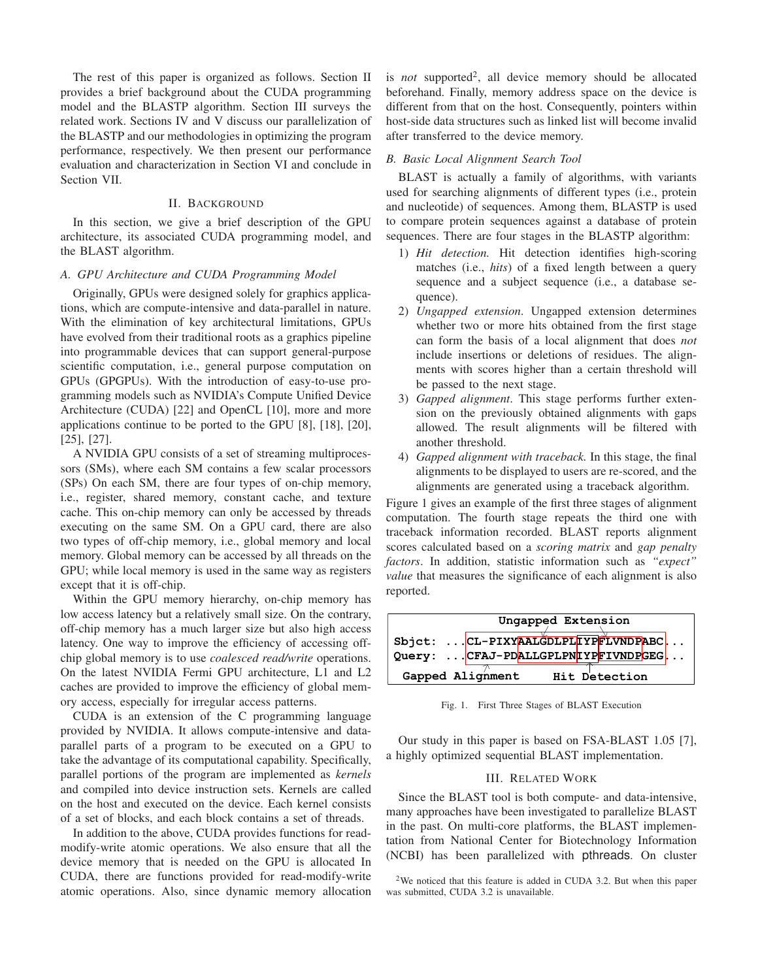The rest of this paper is organized as follows. Section II provides a brief background about the CUDA programming model and the BLASTP algorithm. Section III surveys the related work. Sections IV and V discuss our parallelization of the BLASTP and our methodologies in optimizing the program performance, respectively. We then present our performance evaluation and characterization in Section VI and conclude in Section VII.

## II. BACKGROUND

In this section, we give a brief description of the GPU architecture, its associated CUDA programming model, and the BLAST algorithm.

## *A. GPU Architecture and CUDA Programming Model*

Originally, GPUs were designed solely for graphics applications, which are compute-intensive and data-parallel in nature. With the elimination of key architectural limitations, GPUs have evolved from their traditional roots as a graphics pipeline into programmable devices that can support general-purpose scientific computation, i.e., general purpose computation on GPUs (GPGPUs). With the introduction of easy-to-use programming models such as NVIDIA's Compute Unified Device Architecture (CUDA) [22] and OpenCL [10], more and more applications continue to be ported to the GPU [8], [18], [20], [25], [27].

A NVIDIA GPU consists of a set of streaming multiprocessors (SMs), where each SM contains a few scalar processors (SPs) On each SM, there are four types of on-chip memory, i.e., register, shared memory, constant cache, and texture cache. This on-chip memory can only be accessed by threads executing on the same SM. On a GPU card, there are also two types of off-chip memory, i.e., global memory and local memory. Global memory can be accessed by all threads on the GPU; while local memory is used in the same way as registers except that it is off-chip.

Within the GPU memory hierarchy, on-chip memory has low access latency but a relatively small size. On the contrary, off-chip memory has a much larger size but also high access latency. One way to improve the efficiency of accessing offchip global memory is to use *coalesced read/write* operations. On the latest NVIDIA Fermi GPU architecture, L1 and L2 caches are provided to improve the efficiency of global memory access, especially for irregular access patterns.

CUDA is an extension of the C programming language provided by NVIDIA. It allows compute-intensive and dataparallel parts of a program to be executed on a GPU to take the advantage of its computational capability. Specifically, parallel portions of the program are implemented as *kernels* and compiled into device instruction sets. Kernels are called on the host and executed on the device. Each kernel consists of a set of blocks, and each block contains a set of threads.

In addition to the above, CUDA provides functions for readmodify-write atomic operations. We also ensure that all the device memory that is needed on the GPU is allocated In CUDA, there are functions provided for read-modify-write atomic operations. Also, since dynamic memory allocation

is *not* supported<sup>2</sup>, all device memory should be allocated beforehand. Finally, memory address space on the device is different from that on the host. Consequently, pointers within host-side data structures such as linked list will become invalid after transferred to the device memory.

#### *B. Basic Local Alignment Search Tool*

BLAST is actually a family of algorithms, with variants used for searching alignments of different types (i.e., protein and nucleotide) of sequences. Among them, BLASTP is used to compare protein sequences against a database of protein sequences. There are four stages in the BLASTP algorithm:

- 1) *Hit detection.* Hit detection identifies high-scoring matches (i.e., *hits*) of a fixed length between a query sequence and a subject sequence (i.e., a database sequence).
- 2) *Ungapped extension*. Ungapped extension determines whether two or more hits obtained from the first stage can form the basis of a local alignment that does *not* include insertions or deletions of residues. The alignments with scores higher than a certain threshold will be passed to the next stage.
- 3) *Gapped alignment*. This stage performs further extension on the previously obtained alignments with gaps allowed. The result alignments will be filtered with another threshold.
- 4) *Gapped alignment with traceback.* In this stage, the final alignments to be displayed to users are re-scored, and the alignments are generated using a traceback algorithm.

Figure 1 gives an example of the first three stages of alignment computation. The fourth stage repeats the third one with traceback information recorded. BLAST reports alignment scores calculated based on a *scoring matrix* and *gap penalty factors*. In addition, statistic information such as *"expect" value* that measures the significance of each alignment is also reported.



Fig. 1. First Three Stages of BLAST Execution

Our study in this paper is based on FSA-BLAST 1.05 [7], a highly optimized sequential BLAST implementation.

### III. RELATED WORK

Since the BLAST tool is both compute- and data-intensive, many approaches have been investigated to parallelize BLAST in the past. On multi-core platforms, the BLAST implementation from National Center for Biotechnology Information (NCBI) has been parallelized with pthreads. On cluster

<sup>2</sup>We noticed that this feature is added in CUDA 3.2. But when this paper was submitted, CUDA 3.2 is unavailable.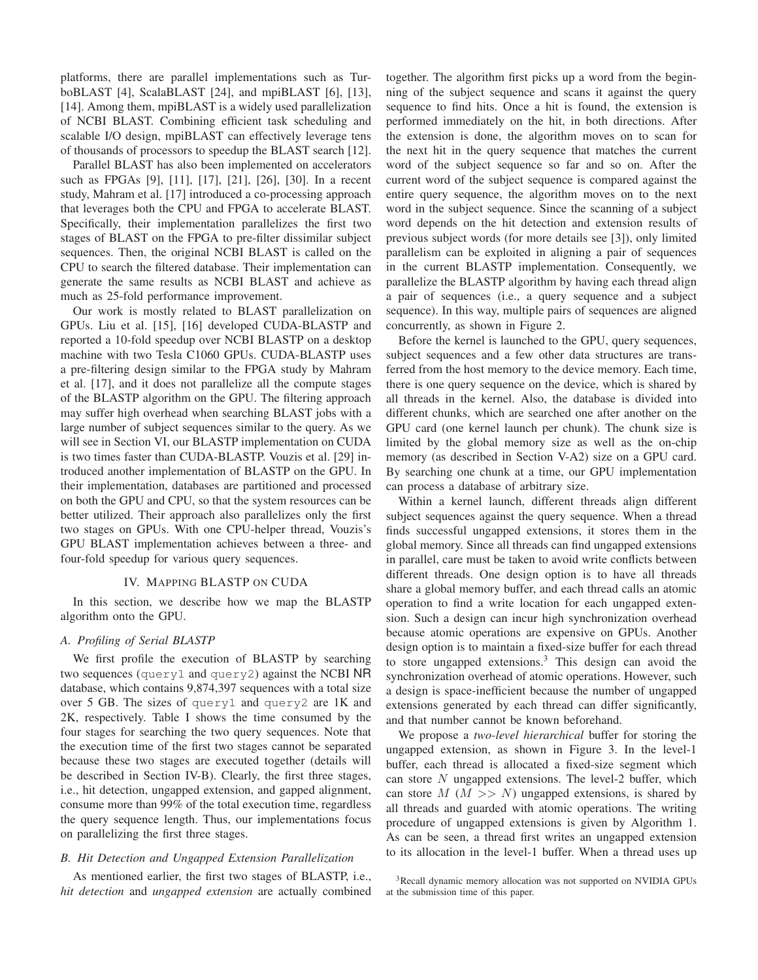platforms, there are parallel implementations such as TurboBLAST [4], ScalaBLAST [24], and mpiBLAST [6], [13], [14]. Among them, mpiBLAST is a widely used parallelization of NCBI BLAST. Combining efficient task scheduling and scalable I/O design, mpiBLAST can effectively leverage tens of thousands of processors to speedup the BLAST search [12].

Parallel BLAST has also been implemented on accelerators such as FPGAs [9], [11], [17], [21], [26], [30]. In a recent study, Mahram et al. [17] introduced a co-processing approach that leverages both the CPU and FPGA to accelerate BLAST. Specifically, their implementation parallelizes the first two stages of BLAST on the FPGA to pre-filter dissimilar subject sequences. Then, the original NCBI BLAST is called on the CPU to search the filtered database. Their implementation can generate the same results as NCBI BLAST and achieve as much as 25-fold performance improvement.

Our work is mostly related to BLAST parallelization on GPUs. Liu et al. [15], [16] developed CUDA-BLASTP and reported a 10-fold speedup over NCBI BLASTP on a desktop machine with two Tesla C1060 GPUs. CUDA-BLASTP uses a pre-filtering design similar to the FPGA study by Mahram et al. [17], and it does not parallelize all the compute stages of the BLASTP algorithm on the GPU. The filtering approach may suffer high overhead when searching BLAST jobs with a large number of subject sequences similar to the query. As we will see in Section VI, our BLASTP implementation on CUDA is two times faster than CUDA-BLASTP. Vouzis et al. [29] introduced another implementation of BLASTP on the GPU. In their implementation, databases are partitioned and processed on both the GPU and CPU, so that the system resources can be better utilized. Their approach also parallelizes only the first two stages on GPUs. With one CPU-helper thread, Vouzis's GPU BLAST implementation achieves between a three- and four-fold speedup for various query sequences.

### IV. MAPPING BLASTP ON CUDA

In this section, we describe how we map the BLASTP algorithm onto the GPU.

## *A. Profiling of Serial BLASTP*

We first profile the execution of BLASTP by searching two sequences (query1 and query2) against the NCBI NR database, which contains 9,874,397 sequences with a total size over 5 GB. The sizes of query1 and query2 are 1K and 2K, respectively. Table I shows the time consumed by the four stages for searching the two query sequences. Note that the execution time of the first two stages cannot be separated because these two stages are executed together (details will be described in Section IV-B). Clearly, the first three stages, i.e., hit detection, ungapped extension, and gapped alignment, consume more than 99% of the total execution time, regardless the query sequence length. Thus, our implementations focus on parallelizing the first three stages.

#### *B. Hit Detection and Ungapped Extension Parallelization*

As mentioned earlier, the first two stages of BLASTP, i.e., *hit detection* and *ungapped extension* are actually combined together. The algorithm first picks up a word from the beginning of the subject sequence and scans it against the query sequence to find hits. Once a hit is found, the extension is performed immediately on the hit, in both directions. After the extension is done, the algorithm moves on to scan for the next hit in the query sequence that matches the current word of the subject sequence so far and so on. After the current word of the subject sequence is compared against the entire query sequence, the algorithm moves on to the next word in the subject sequence. Since the scanning of a subject word depends on the hit detection and extension results of previous subject words (for more details see [3]), only limited parallelism can be exploited in aligning a pair of sequences in the current BLASTP implementation. Consequently, we parallelize the BLASTP algorithm by having each thread align a pair of sequences (i.e., a query sequence and a subject sequence). In this way, multiple pairs of sequences are aligned concurrently, as shown in Figure 2.

Before the kernel is launched to the GPU, query sequences, subject sequences and a few other data structures are transferred from the host memory to the device memory. Each time, there is one query sequence on the device, which is shared by all threads in the kernel. Also, the database is divided into different chunks, which are searched one after another on the GPU card (one kernel launch per chunk). The chunk size is limited by the global memory size as well as the on-chip memory (as described in Section V-A2) size on a GPU card. By searching one chunk at a time, our GPU implementation can process a database of arbitrary size.

Within a kernel launch, different threads align different subject sequences against the query sequence. When a thread finds successful ungapped extensions, it stores them in the global memory. Since all threads can find ungapped extensions in parallel, care must be taken to avoid write conflicts between different threads. One design option is to have all threads share a global memory buffer, and each thread calls an atomic operation to find a write location for each ungapped extension. Such a design can incur high synchronization overhead because atomic operations are expensive on GPUs. Another design option is to maintain a fixed-size buffer for each thread to store ungapped extensions.<sup>3</sup> This design can avoid the synchronization overhead of atomic operations. However, such a design is space-inefficient because the number of ungapped extensions generated by each thread can differ significantly, and that number cannot be known beforehand.

We propose a *two-level hierarchical* buffer for storing the ungapped extension, as shown in Figure 3. In the level-1 buffer, each thread is allocated a fixed-size segment which can store  $N$  ungapped extensions. The level-2 buffer, which can store  $M$  ( $M >> N$ ) ungapped extensions, is shared by all threads and guarded with atomic operations. The writing procedure of ungapped extensions is given by Algorithm 1. As can be seen, a thread first writes an ungapped extension to its allocation in the level-1 buffer. When a thread uses up

<sup>3</sup>Recall dynamic memory allocation was not supported on NVIDIA GPUs at the submission time of this paper.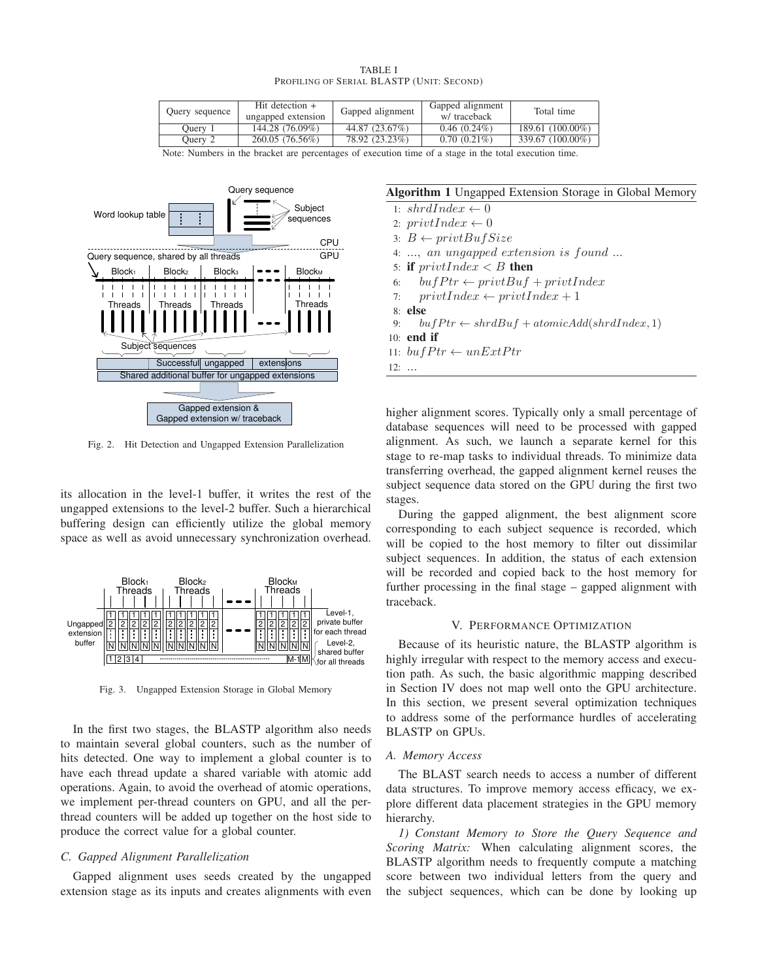| TABLE I                                   |  |  |  |  |
|-------------------------------------------|--|--|--|--|
| Profiling of Serial BLASTP (Unit: Second) |  |  |  |  |

| Ouery sequence | Hit detection $+$<br>ungapped extension | Gapped alignment | Gapped alignment<br>w/ traceback | Total time       |
|----------------|-----------------------------------------|------------------|----------------------------------|------------------|
| Ouery 1        | 144.28 (76.09%)                         | 44.87 (23.67%)   | $0.46(0.24\%)$                   | 189.61 (100.00%) |
| Ouery 2        | 260.05 (76.56%)                         | 78.92 (23.23%)   | $0.70(0.21\%)$                   | 339.67 (100.00%) |

Note: Numbers in the bracket are percentages of execution time of a stage in the total execution time.



Fig. 2. Hit Detection and Ungapped Extension Parallelization

its allocation in the level-1 buffer, it writes the rest of the ungapped extensions to the level-2 buffer. Such a hierarchical buffering design can efficiently utilize the global memory space as well as avoid unnecessary synchronization overhead.



Fig. 3. Ungapped Extension Storage in Global Memory

In the first two stages, the BLASTP algorithm also needs to maintain several global counters, such as the number of hits detected. One way to implement a global counter is to have each thread update a shared variable with atomic add operations. Again, to avoid the overhead of atomic operations, we implement per-thread counters on GPU, and all the perthread counters will be added up together on the host side to produce the correct value for a global counter.

## *C. Gapped Alignment Parallelization*

Gapped alignment uses seeds created by the ungapped extension stage as its inputs and creates alignments with even

## **Algorithm 1** Ungapped Extension Storage in Global Memory

1:  $shrdlndex \leftarrow 0$ 2:  $privtIndex \leftarrow 0$ 3:  $B \leftarrow \text{privt}BufSize$ 4: ..., an ungapped extension is found ... 5: **if**  $\text{privtIndex} < B$  **then** 6:  $bufPtr \leftarrow privtBuf + privtIndex$ 7:  $privtIndex \leftarrow privtIndex + 1$ 8: **else** 9:  $bufPtr \leftarrow shrdBuf + atomicAdd(shrdIndex, 1)$ 10: **end if** 11:  $bufPtr \leftarrow unExtPtr$ 12: ...

higher alignment scores. Typically only a small percentage of database sequences will need to be processed with gapped alignment. As such, we launch a separate kernel for this stage to re-map tasks to individual threads. To minimize data transferring overhead, the gapped alignment kernel reuses the subject sequence data stored on the GPU during the first two stages.

During the gapped alignment, the best alignment score corresponding to each subject sequence is recorded, which will be copied to the host memory to filter out dissimilar subject sequences. In addition, the status of each extension will be recorded and copied back to the host memory for further processing in the final stage – gapped alignment with traceback.

## V. PERFORMANCE OPTIMIZATION

Because of its heuristic nature, the BLASTP algorithm is highly irregular with respect to the memory access and execution path. As such, the basic algorithmic mapping described in Section IV does not map well onto the GPU architecture. In this section, we present several optimization techniques to address some of the performance hurdles of accelerating BLASTP on GPUs.

#### *A. Memory Access*

The BLAST search needs to access a number of different data structures. To improve memory access efficacy, we explore different data placement strategies in the GPU memory hierarchy.

*1) Constant Memory to Store the Query Sequence and Scoring Matrix:* When calculating alignment scores, the BLASTP algorithm needs to frequently compute a matching score between two individual letters from the query and the subject sequences, which can be done by looking up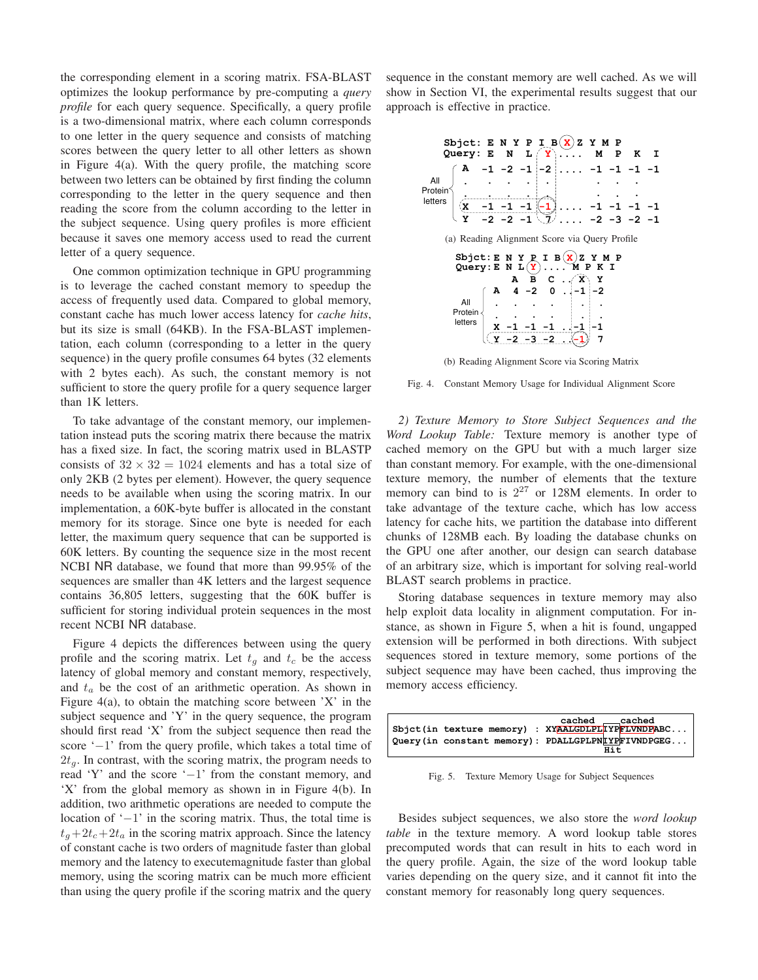the corresponding element in a scoring matrix. FSA-BLAST optimizes the lookup performance by pre-computing a *query profile* for each query sequence. Specifically, a query profile is a two-dimensional matrix, where each column corresponds to one letter in the query sequence and consists of matching scores between the query letter to all other letters as shown in Figure 4(a). With the query profile, the matching score between two letters can be obtained by first finding the column corresponding to the letter in the query sequence and then reading the score from the column according to the letter in the subject sequence. Using query profiles is more efficient because it saves one memory access used to read the current letter of a query sequence.

One common optimization technique in GPU programming is to leverage the cached constant memory to speedup the access of frequently used data. Compared to global memory, constant cache has much lower access latency for *cache hits*, but its size is small (64KB). In the FSA-BLAST implementation, each column (corresponding to a letter in the query sequence) in the query profile consumes 64 bytes (32 elements with 2 bytes each). As such, the constant memory is not sufficient to store the query profile for a query sequence larger than 1K letters.

To take advantage of the constant memory, our implementation instead puts the scoring matrix there because the matrix has a fixed size. In fact, the scoring matrix used in BLASTP consists of  $32 \times 32 = 1024$  elements and has a total size of only 2KB (2 bytes per element). However, the query sequence needs to be available when using the scoring matrix. In our implementation, a 60K-byte buffer is allocated in the constant memory for its storage. Since one byte is needed for each letter, the maximum query sequence that can be supported is 60K letters. By counting the sequence size in the most recent NCBI NR database, we found that more than 99.95% of the sequences are smaller than 4K letters and the largest sequence contains 36,805 letters, suggesting that the 60K buffer is sufficient for storing individual protein sequences in the most recent NCBI NR database.

Figure 4 depicts the differences between using the query profile and the scoring matrix. Let  $t_q$  and  $t_c$  be the access latency of global memory and constant memory, respectively, and  $t_a$  be the cost of an arithmetic operation. As shown in Figure  $4(a)$ , to obtain the matching score between 'X' in the subject sequence and 'Y' in the query sequence, the program should first read 'X' from the subject sequence then read the score '−1' from the query profile, which takes a total time of  $2t<sub>a</sub>$ . In contrast, with the scoring matrix, the program needs to read 'Y' and the score '−1' from the constant memory, and 'X' from the global memory as shown in in Figure 4(b). In addition, two arithmetic operations are needed to compute the location of '−1' in the scoring matrix. Thus, the total time is  $t_a+2t_c+2t_a$  in the scoring matrix approach. Since the latency of constant cache is two orders of magnitude faster than global memory and the latency to executemagnitude faster than global memory, using the scoring matrix can be much more efficient than using the query profile if the scoring matrix and the query sequence in the constant memory are well cached. As we will show in Section VI, the experimental results suggest that our approach is effective in practice.



(b) Reading Alignment Score via Scoring Matrix

Fig. 4. Constant Memory Usage for Individual Alignment Score

*2) Texture Memory to Store Subject Sequences and the Word Lookup Table:* Texture memory is another type of cached memory on the GPU but with a much larger size than constant memory. For example, with the one-dimensional texture memory, the number of elements that the texture memory can bind to is  $2^{27}$  or 128M elements. In order to take advantage of the texture cache, which has low access latency for cache hits, we partition the database into different chunks of 128MB each. By loading the database chunks on the GPU one after another, our design can search database of an arbitrary size, which is important for solving real-world BLAST search problems in practice.

Storing database sequences in texture memory may also help exploit data locality in alignment computation. For instance, as shown in Figure 5, when a hit is found, ungapped extension will be performed in both directions. With subject sequences stored in texture memory, some portions of the subject sequence may have been cached, thus improving the memory access efficiency.



Fig. 5. Texture Memory Usage for Subject Sequences

Besides subject sequences, we also store the *word lookup table* in the texture memory. A word lookup table stores precomputed words that can result in hits to each word in the query profile. Again, the size of the word lookup table varies depending on the query size, and it cannot fit into the constant memory for reasonably long query sequences.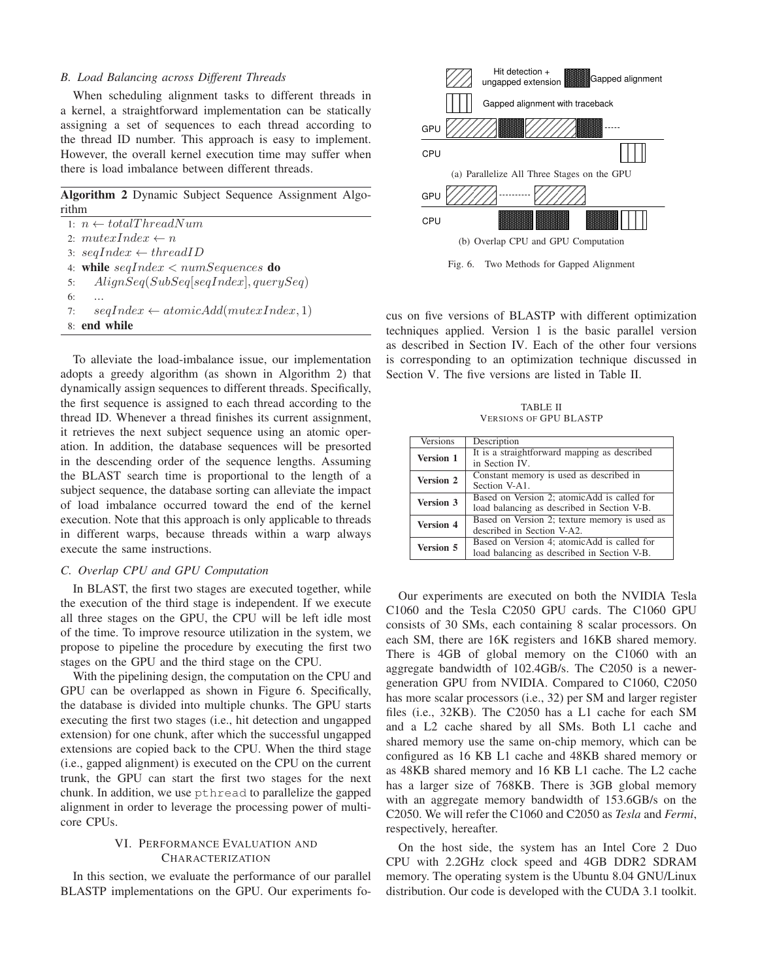#### *B. Load Balancing across Different Threads*

When scheduling alignment tasks to different threads in a kernel, a straightforward implementation can be statically assigning a set of sequences to each thread according to the thread ID number. This approach is easy to implement. However, the overall kernel execution time may suffer when there is load imbalance between different threads.

**Algorithm 2** Dynamic Subject Sequence Assignment Algorithm

1:  $n \leftarrow totalThreadNum$ 2:  $mutexIndex \leftarrow n$ 3:  $seqIndex \leftarrow threadID$ 4: **while** seqIndex < numSequences **do** 5: AlignSeq(SubSeq[seqIndex], querySeq) 6: ... 7:  $seqIndex \leftarrow atomicAdd(muteurIndex, 1)$ 8: **end while**

To alleviate the load-imbalance issue, our implementation adopts a greedy algorithm (as shown in Algorithm 2) that dynamically assign sequences to different threads. Specifically, the first sequence is assigned to each thread according to the thread ID. Whenever a thread finishes its current assignment, it retrieves the next subject sequence using an atomic operation. In addition, the database sequences will be presorted in the descending order of the sequence lengths. Assuming the BLAST search time is proportional to the length of a subject sequence, the database sorting can alleviate the impact of load imbalance occurred toward the end of the kernel execution. Note that this approach is only applicable to threads in different warps, because threads within a warp always execute the same instructions.

## *C. Overlap CPU and GPU Computation*

In BLAST, the first two stages are executed together, while the execution of the third stage is independent. If we execute all three stages on the GPU, the CPU will be left idle most of the time. To improve resource utilization in the system, we propose to pipeline the procedure by executing the first two stages on the GPU and the third stage on the CPU.

With the pipelining design, the computation on the CPU and GPU can be overlapped as shown in Figure 6. Specifically, the database is divided into multiple chunks. The GPU starts executing the first two stages (i.e., hit detection and ungapped extension) for one chunk, after which the successful ungapped extensions are copied back to the CPU. When the third stage (i.e., gapped alignment) is executed on the CPU on the current trunk, the GPU can start the first two stages for the next chunk. In addition, we use pthread to parallelize the gapped alignment in order to leverage the processing power of multicore CPUs.

## VI. PERFORMANCE EVALUATION AND CHARACTERIZATION

In this section, we evaluate the performance of our parallel BLASTP implementations on the GPU. Our experiments fo-



Fig. 6. Two Methods for Gapped Alignment

cus on five versions of BLASTP with different optimization techniques applied. Version 1 is the basic parallel version as described in Section IV. Each of the other four versions is corresponding to an optimization technique discussed in Section V. The five versions are listed in Table II.

TABLE II VERSIONS OF GPU BLASTP

| Versions         | Description                                                    |  |
|------------------|----------------------------------------------------------------|--|
| <b>Version 1</b> | It is a straightforward mapping as described<br>in Section IV. |  |
|                  |                                                                |  |
| <b>Version 2</b> | Constant memory is used as described in                        |  |
|                  | Section V-A1.                                                  |  |
|                  | Based on Version 2; atomicAdd is called for                    |  |
| <b>Version 3</b> | load balancing as described in Section V-B.                    |  |
| <b>Version 4</b> | Based on Version 2; texture memory is used as                  |  |
|                  | described in Section V-A2.                                     |  |
| <b>Version 5</b> | Based on Version 4; atomicAdd is called for                    |  |
|                  | load balancing as described in Section V-B.                    |  |

Our experiments are executed on both the NVIDIA Tesla C1060 and the Tesla C2050 GPU cards. The C1060 GPU consists of 30 SMs, each containing 8 scalar processors. On each SM, there are 16K registers and 16KB shared memory. There is 4GB of global memory on the C1060 with an aggregate bandwidth of 102.4GB/s. The C2050 is a newergeneration GPU from NVIDIA. Compared to C1060, C2050 has more scalar processors (i.e., 32) per SM and larger register files (i.e., 32KB). The C2050 has a L1 cache for each SM and a L2 cache shared by all SMs. Both L1 cache and shared memory use the same on-chip memory, which can be configured as 16 KB L1 cache and 48KB shared memory or as 48KB shared memory and 16 KB L1 cache. The L2 cache has a larger size of 768KB. There is 3GB global memory with an aggregate memory bandwidth of 153.6GB/s on the C2050. We will refer the C1060 and C2050 as *Tesla* and *Fermi*, respectively, hereafter.

On the host side, the system has an Intel Core 2 Duo CPU with 2.2GHz clock speed and 4GB DDR2 SDRAM memory. The operating system is the Ubuntu 8.04 GNU/Linux distribution. Our code is developed with the CUDA 3.1 toolkit.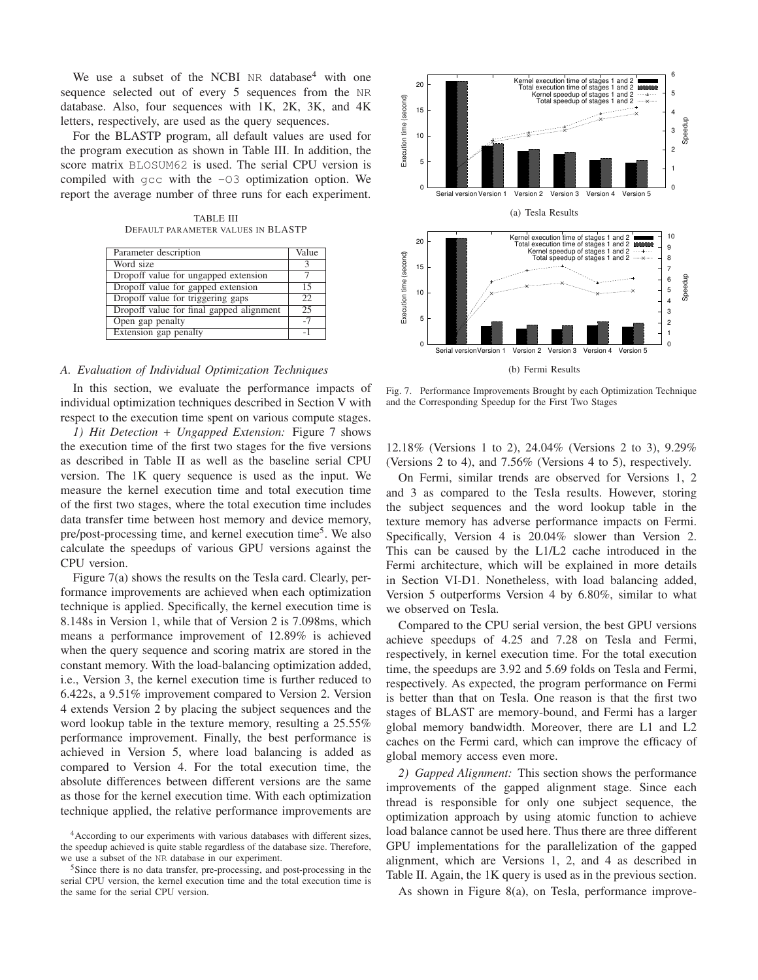We use a subset of the NCBI NR database<sup>4</sup> with one sequence selected out of every 5 sequences from the NR database. Also, four sequences with 1K, 2K, 3K, and 4K letters, respectively, are used as the query sequences.

For the BLASTP program, all default values are used for the program execution as shown in Table III. In addition, the score matrix BLOSUM62 is used. The serial CPU version is compiled with gcc with the -O3 optimization option. We report the average number of three runs for each experiment.

TABLE III DEFAULT PARAMETER VALUES IN BLASTP

| Parameter description                    | Value           |
|------------------------------------------|-----------------|
| Word size                                |                 |
| Dropoff value for ungapped extension     |                 |
| Dropoff value for gapped extension       | 15              |
| Dropoff value for triggering gaps        | 22              |
| Dropoff value for final gapped alignment | $\overline{2}5$ |
| Open gap penalty                         | $-7$            |
| Extension gap penalty                    | $-1$            |

## *A. Evaluation of Individual Optimization Techniques*

In this section, we evaluate the performance impacts of individual optimization techniques described in Section V with respect to the execution time spent on various compute stages.

*1) Hit Detection + Ungapped Extension:* Figure 7 shows the execution time of the first two stages for the five versions as described in Table II as well as the baseline serial CPU version. The 1K query sequence is used as the input. We measure the kernel execution time and total execution time of the first two stages, where the total execution time includes data transfer time between host memory and device memory, pre/post-processing time, and kernel execution time<sup>5</sup>. We also calculate the speedups of various GPU versions against the CPU version.

Figure 7(a) shows the results on the Tesla card. Clearly, performance improvements are achieved when each optimization technique is applied. Specifically, the kernel execution time is 8.148s in Version 1, while that of Version 2 is 7.098ms, which means a performance improvement of 12.89% is achieved when the query sequence and scoring matrix are stored in the constant memory. With the load-balancing optimization added, i.e., Version 3, the kernel execution time is further reduced to 6.422s, a 9.51% improvement compared to Version 2. Version 4 extends Version 2 by placing the subject sequences and the word lookup table in the texture memory, resulting a 25.55% performance improvement. Finally, the best performance is achieved in Version 5, where load balancing is added as compared to Version 4. For the total execution time, the absolute differences between different versions are the same as those for the kernel execution time. With each optimization technique applied, the relative performance improvements are



Fig. 7. Performance Improvements Brought by each Optimization Technique and the Corresponding Speedup for the First Two Stages

12.18% (Versions 1 to 2), 24.04% (Versions 2 to 3), 9.29% (Versions 2 to 4), and 7.56% (Versions 4 to 5), respectively.

On Fermi, similar trends are observed for Versions 1, 2 and 3 as compared to the Tesla results. However, storing the subject sequences and the word lookup table in the texture memory has adverse performance impacts on Fermi. Specifically, Version 4 is 20.04% slower than Version 2. This can be caused by the L1/L2 cache introduced in the Fermi architecture, which will be explained in more details in Section VI-D1. Nonetheless, with load balancing added, Version 5 outperforms Version 4 by 6.80%, similar to what we observed on Tesla.

Compared to the CPU serial version, the best GPU versions achieve speedups of 4.25 and 7.28 on Tesla and Fermi, respectively, in kernel execution time. For the total execution time, the speedups are 3.92 and 5.69 folds on Tesla and Fermi, respectively. As expected, the program performance on Fermi is better than that on Tesla. One reason is that the first two stages of BLAST are memory-bound, and Fermi has a larger global memory bandwidth. Moreover, there are L1 and L2 caches on the Fermi card, which can improve the efficacy of global memory access even more.

*2) Gapped Alignment:* This section shows the performance improvements of the gapped alignment stage. Since each thread is responsible for only one subject sequence, the optimization approach by using atomic function to achieve load balance cannot be used here. Thus there are three different GPU implementations for the parallelization of the gapped alignment, which are Versions 1, 2, and 4 as described in Table II. Again, the 1K query is used as in the previous section.

As shown in Figure 8(a), on Tesla, performance improve-

<sup>4</sup>According to our experiments with various databases with different sizes, the speedup achieved is quite stable regardless of the database size. Therefore, we use a subset of the NR database in our experiment.

<sup>5</sup>Since there is no data transfer, pre-processing, and post-processing in the serial CPU version, the kernel execution time and the total execution time is the same for the serial CPU version.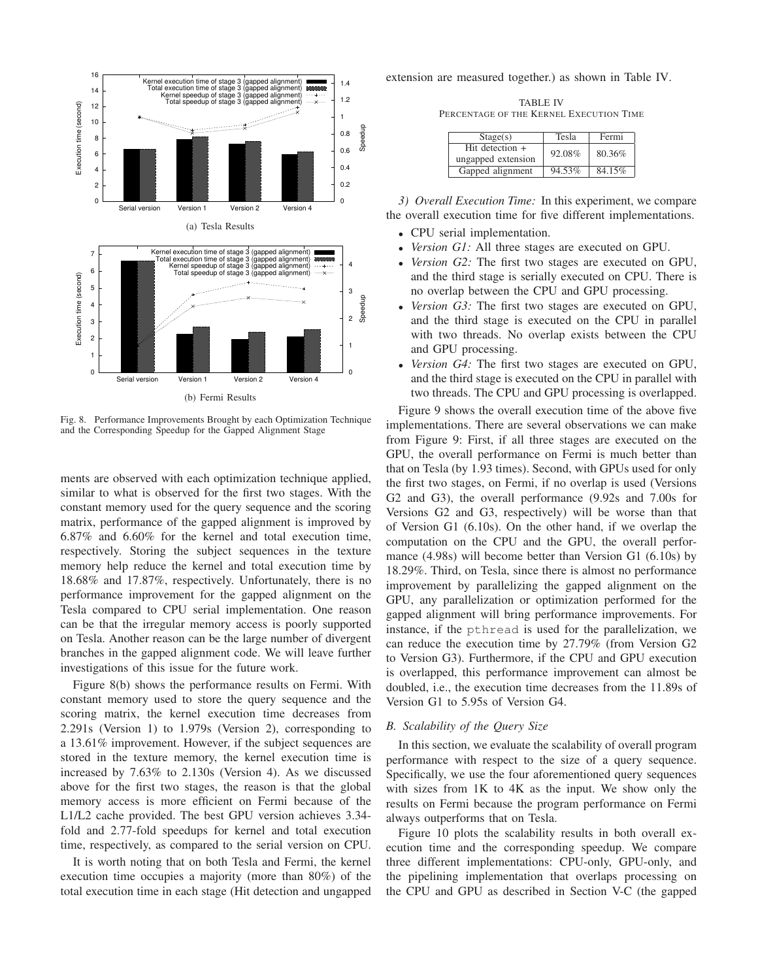

Fig. 8. Performance Improvements Brought by each Optimization Technique and the Corresponding Speedup for the Gapped Alignment Stage

ments are observed with each optimization technique applied, similar to what is observed for the first two stages. With the constant memory used for the query sequence and the scoring matrix, performance of the gapped alignment is improved by 6.87% and 6.60% for the kernel and total execution time, respectively. Storing the subject sequences in the texture memory help reduce the kernel and total execution time by 18.68% and 17.87%, respectively. Unfortunately, there is no performance improvement for the gapped alignment on the Tesla compared to CPU serial implementation. One reason can be that the irregular memory access is poorly supported on Tesla. Another reason can be the large number of divergent branches in the gapped alignment code. We will leave further investigations of this issue for the future work.

Figure 8(b) shows the performance results on Fermi. With constant memory used to store the query sequence and the scoring matrix, the kernel execution time decreases from 2.291s (Version 1) to 1.979s (Version 2), corresponding to a 13.61% improvement. However, if the subject sequences are stored in the texture memory, the kernel execution time is increased by 7.63% to 2.130s (Version 4). As we discussed above for the first two stages, the reason is that the global memory access is more efficient on Fermi because of the L1/L2 cache provided. The best GPU version achieves 3.34 fold and 2.77-fold speedups for kernel and total execution time, respectively, as compared to the serial version on CPU.

It is worth noting that on both Tesla and Fermi, the kernel execution time occupies a majority (more than 80%) of the total execution time in each stage (Hit detection and ungapped

extension are measured together.) as shown in Table IV.

TABLE IV PERCENTAGE OF THE KERNEL EXECUTION TIME

| Stage(s)                                | Tesla  | Fermi  |
|-----------------------------------------|--------|--------|
| Hit detection $+$<br>ungapped extension | 92.08% | 80.36% |
| Gapped alignment                        | 94.53% | 84.15% |

*3) Overall Execution Time:* In this experiment, we compare the overall execution time for five different implementations.

- CPU serial implementation.
- *Version G1:* All three stages are executed on GPU.
- *Version G2:* The first two stages are executed on GPU, and the third stage is serially executed on CPU. There is no overlap between the CPU and GPU processing.
- *Version G3:* The first two stages are executed on GPU, and the third stage is executed on the CPU in parallel with two threads. No overlap exists between the CPU and GPU processing.
- *Version G4:* The first two stages are executed on GPU, and the third stage is executed on the CPU in parallel with two threads. The CPU and GPU processing is overlapped.

Figure 9 shows the overall execution time of the above five implementations. There are several observations we can make from Figure 9: First, if all three stages are executed on the GPU, the overall performance on Fermi is much better than that on Tesla (by 1.93 times). Second, with GPUs used for only the first two stages, on Fermi, if no overlap is used (Versions G2 and G3), the overall performance (9.92s and 7.00s for Versions G2 and G3, respectively) will be worse than that of Version G1 (6.10s). On the other hand, if we overlap the computation on the CPU and the GPU, the overall performance (4.98s) will become better than Version G1 (6.10s) by 18.29%. Third, on Tesla, since there is almost no performance improvement by parallelizing the gapped alignment on the GPU, any parallelization or optimization performed for the gapped alignment will bring performance improvements. For instance, if the pthread is used for the parallelization, we can reduce the execution time by 27.79% (from Version G2 to Version G3). Furthermore, if the CPU and GPU execution is overlapped, this performance improvement can almost be doubled, i.e., the execution time decreases from the 11.89s of Version G1 to 5.95s of Version G4.

## *B. Scalability of the Query Size*

In this section, we evaluate the scalability of overall program performance with respect to the size of a query sequence. Specifically, we use the four aforementioned query sequences with sizes from 1K to 4K as the input. We show only the results on Fermi because the program performance on Fermi always outperforms that on Tesla.

Figure 10 plots the scalability results in both overall execution time and the corresponding speedup. We compare three different implementations: CPU-only, GPU-only, and the pipelining implementation that overlaps processing on the CPU and GPU as described in Section V-C (the gapped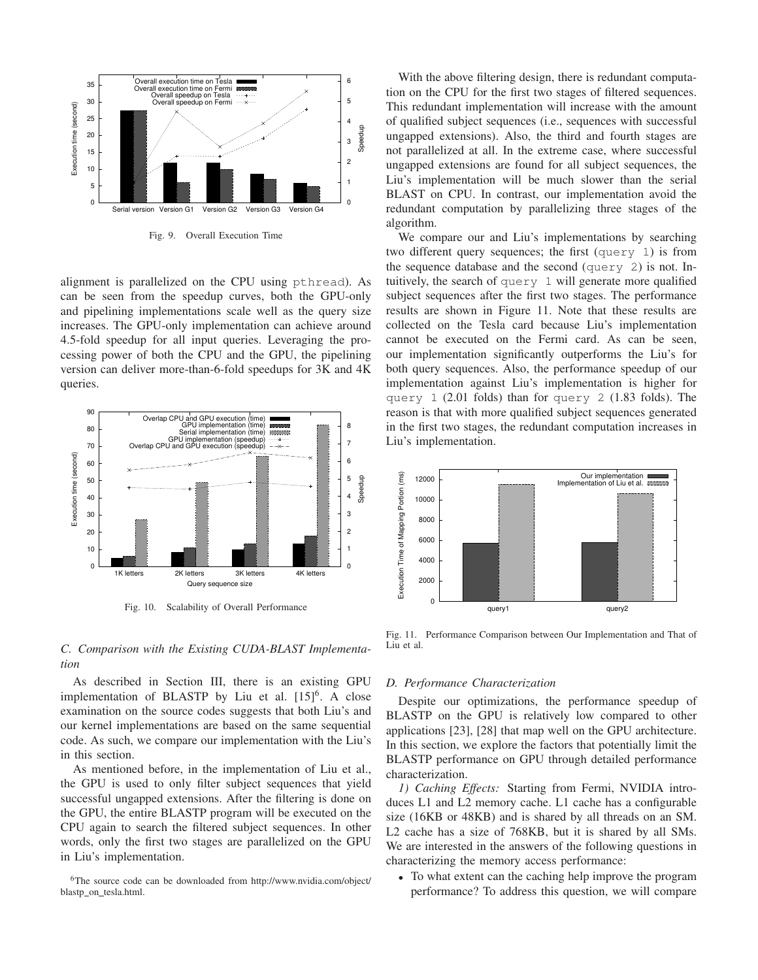

Fig. 9. Overall Execution Time

alignment is parallelized on the CPU using pthread). As can be seen from the speedup curves, both the GPU-only and pipelining implementations scale well as the query size increases. The GPU-only implementation can achieve around 4.5-fold speedup for all input queries. Leveraging the processing power of both the CPU and the GPU, the pipelining version can deliver more-than-6-fold speedups for 3K and 4K queries.



Fig. 10. Scalability of Overall Performance

## *C. Comparison with the Existing CUDA-BLAST Implementation*

As described in Section III, there is an existing GPU implementation of BLASTP by Liu et al.  $[15]$ <sup>6</sup>. A close examination on the source codes suggests that both Liu's and our kernel implementations are based on the same sequential code. As such, we compare our implementation with the Liu's in this section.

As mentioned before, in the implementation of Liu et al., the GPU is used to only filter subject sequences that yield successful ungapped extensions. After the filtering is done on the GPU, the entire BLASTP program will be executed on the CPU again to search the filtered subject sequences. In other words, only the first two stages are parallelized on the GPU in Liu's implementation.

<sup>6</sup>The source code can be downloaded from http://www.nvidia.com/object/ blastp on tesla.html.

With the above filtering design, there is redundant computation on the CPU for the first two stages of filtered sequences. This redundant implementation will increase with the amount of qualified subject sequences (i.e., sequences with successful ungapped extensions). Also, the third and fourth stages are not parallelized at all. In the extreme case, where successful ungapped extensions are found for all subject sequences, the Liu's implementation will be much slower than the serial BLAST on CPU. In contrast, our implementation avoid the redundant computation by parallelizing three stages of the algorithm.

We compare our and Liu's implementations by searching two different query sequences; the first (query 1) is from the sequence database and the second (query 2) is not. Intuitively, the search of query 1 will generate more qualified subject sequences after the first two stages. The performance results are shown in Figure 11. Note that these results are collected on the Tesla card because Liu's implementation cannot be executed on the Fermi card. As can be seen, our implementation significantly outperforms the Liu's for both query sequences. Also, the performance speedup of our implementation against Liu's implementation is higher for query 1 (2.01 folds) than for query 2 (1.83 folds). The reason is that with more qualified subject sequences generated in the first two stages, the redundant computation increases in Liu's implementation.



Fig. 11. Performance Comparison between Our Implementation and That of Liu et al.

#### *D. Performance Characterization*

Despite our optimizations, the performance speedup of BLASTP on the GPU is relatively low compared to other applications [23], [28] that map well on the GPU architecture. In this section, we explore the factors that potentially limit the BLASTP performance on GPU through detailed performance characterization.

*1) Caching Effects:* Starting from Fermi, NVIDIA introduces L1 and L2 memory cache. L1 cache has a configurable size (16KB or 48KB) and is shared by all threads on an SM. L2 cache has a size of 768KB, but it is shared by all SMs. We are interested in the answers of the following questions in characterizing the memory access performance:

• To what extent can the caching help improve the program performance? To address this question, we will compare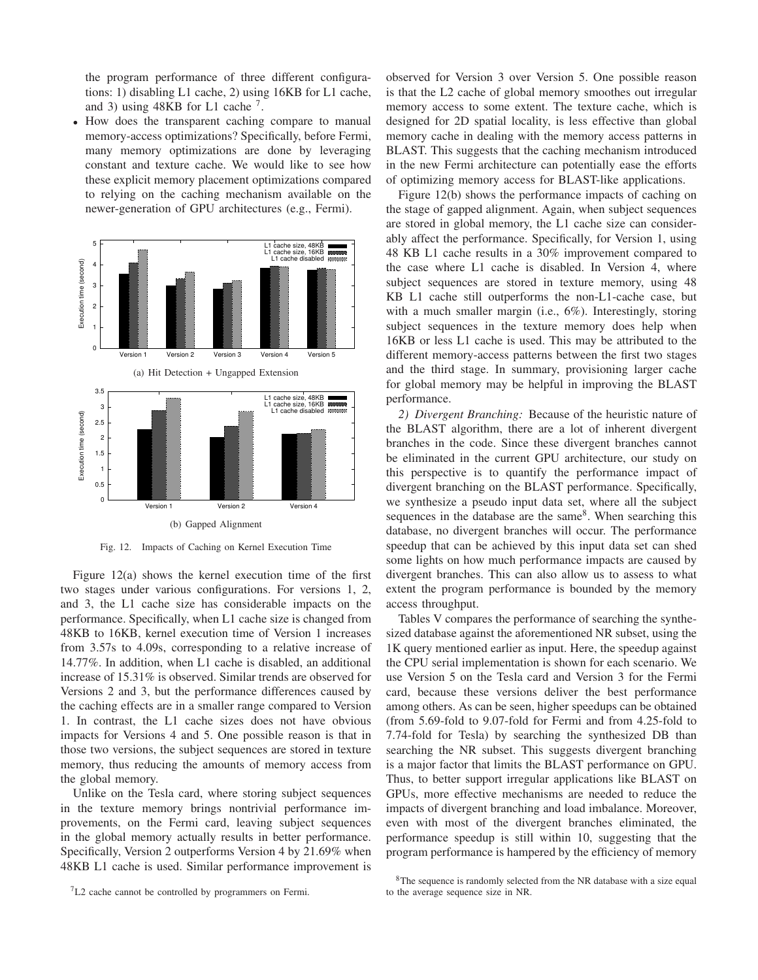the program performance of three different configurations: 1) disabling L1 cache, 2) using 16KB for L1 cache, and 3) using  $48KB$  for L1 cache<sup>7</sup>.

• How does the transparent caching compare to manual memory-access optimizations? Specifically, before Fermi, many memory optimizations are done by leveraging constant and texture cache. We would like to see how these explicit memory placement optimizations compared to relying on the caching mechanism available on the newer-generation of GPU architectures (e.g., Fermi).



Fig. 12. Impacts of Caching on Kernel Execution Time

Figure 12(a) shows the kernel execution time of the first two stages under various configurations. For versions 1, 2, and 3, the L1 cache size has considerable impacts on the performance. Specifically, when L1 cache size is changed from 48KB to 16KB, kernel execution time of Version 1 increases from 3.57s to 4.09s, corresponding to a relative increase of 14.77%. In addition, when L1 cache is disabled, an additional increase of 15.31% is observed. Similar trends are observed for Versions 2 and 3, but the performance differences caused by the caching effects are in a smaller range compared to Version 1. In contrast, the L1 cache sizes does not have obvious impacts for Versions 4 and 5. One possible reason is that in those two versions, the subject sequences are stored in texture memory, thus reducing the amounts of memory access from the global memory.

Unlike on the Tesla card, where storing subject sequences in the texture memory brings nontrivial performance improvements, on the Fermi card, leaving subject sequences in the global memory actually results in better performance. Specifically, Version 2 outperforms Version 4 by 21.69% when 48KB L1 cache is used. Similar performance improvement is observed for Version 3 over Version 5. One possible reason is that the L2 cache of global memory smoothes out irregular memory access to some extent. The texture cache, which is designed for 2D spatial locality, is less effective than global memory cache in dealing with the memory access patterns in BLAST. This suggests that the caching mechanism introduced in the new Fermi architecture can potentially ease the efforts of optimizing memory access for BLAST-like applications.

Figure 12(b) shows the performance impacts of caching on the stage of gapped alignment. Again, when subject sequences are stored in global memory, the L1 cache size can considerably affect the performance. Specifically, for Version 1, using 48 KB L1 cache results in a 30% improvement compared to the case where L1 cache is disabled. In Version 4, where subject sequences are stored in texture memory, using 48 KB L1 cache still outperforms the non-L1-cache case, but with a much smaller margin (i.e., 6%). Interestingly, storing subject sequences in the texture memory does help when 16KB or less L1 cache is used. This may be attributed to the different memory-access patterns between the first two stages and the third stage. In summary, provisioning larger cache for global memory may be helpful in improving the BLAST performance.

*2) Divergent Branching:* Because of the heuristic nature of the BLAST algorithm, there are a lot of inherent divergent branches in the code. Since these divergent branches cannot be eliminated in the current GPU architecture, our study on this perspective is to quantify the performance impact of divergent branching on the BLAST performance. Specifically, we synthesize a pseudo input data set, where all the subject sequences in the database are the same<sup>8</sup>. When searching this database, no divergent branches will occur. The performance speedup that can be achieved by this input data set can shed some lights on how much performance impacts are caused by divergent branches. This can also allow us to assess to what extent the program performance is bounded by the memory access throughput.

Tables V compares the performance of searching the synthesized database against the aforementioned NR subset, using the 1K query mentioned earlier as input. Here, the speedup against the CPU serial implementation is shown for each scenario. We use Version 5 on the Tesla card and Version 3 for the Fermi card, because these versions deliver the best performance among others. As can be seen, higher speedups can be obtained (from 5.69-fold to 9.07-fold for Fermi and from 4.25-fold to 7.74-fold for Tesla) by searching the synthesized DB than searching the NR subset. This suggests divergent branching is a major factor that limits the BLAST performance on GPU. Thus, to better support irregular applications like BLAST on GPUs, more effective mechanisms are needed to reduce the impacts of divergent branching and load imbalance. Moreover, even with most of the divergent branches eliminated, the performance speedup is still within 10, suggesting that the program performance is hampered by the efficiency of memory

<sup>7</sup>L2 cache cannot be controlled by programmers on Fermi.

<sup>&</sup>lt;sup>8</sup>The sequence is randomly selected from the NR database with a size equal to the average sequence size in NR.